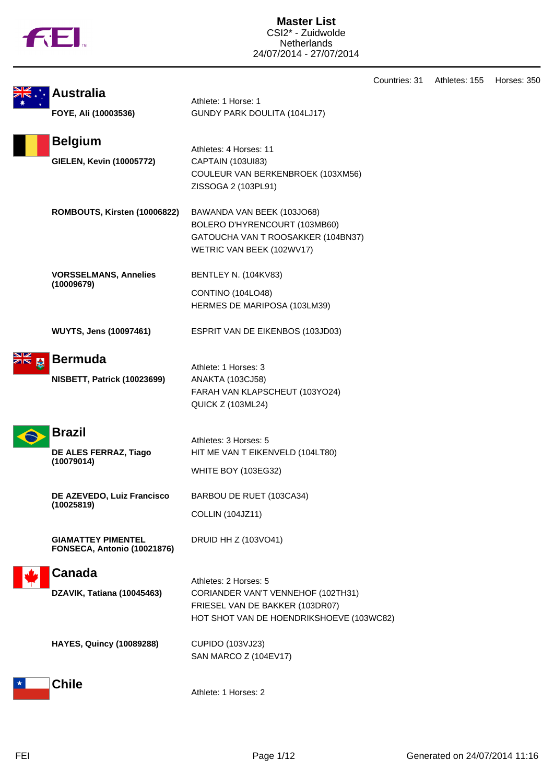|  | N |
|--|---|
|  |   |

|                                                          |                                                                                                                                | Countries: 31 | Athletes: 155 | Horses: 350 |
|----------------------------------------------------------|--------------------------------------------------------------------------------------------------------------------------------|---------------|---------------|-------------|
| <b>Australia</b>                                         | Athlete: 1 Horse: 1                                                                                                            |               |               |             |
| FOYE, Ali (10003536)                                     | GUNDY PARK DOULITA (104LJ17)                                                                                                   |               |               |             |
| <b>Belgium</b>                                           |                                                                                                                                |               |               |             |
| <b>GIELEN, Kevin (10005772)</b>                          | Athletes: 4 Horses: 11<br>CAPTAIN (103UI83)<br>COULEUR VAN BERKENBROEK (103XM56)<br>ZISSOGA 2 (103PL91)                        |               |               |             |
| ROMBOUTS, Kirsten (10006822)                             | BAWANDA VAN BEEK (103JO68)<br>BOLERO D'HYRENCOURT (103MB60)<br>GATOUCHA VAN T ROOSAKKER (104BN37)<br>WETRIC VAN BEEK (102WV17) |               |               |             |
| <b>VORSSELMANS, Annelies</b>                             | <b>BENTLEY N. (104KV83)</b>                                                                                                    |               |               |             |
| (10009679)                                               | CONTINO (104LO48)<br>HERMES DE MARIPOSA (103LM39)                                                                              |               |               |             |
| <b>WUYTS, Jens (10097461)</b>                            | ESPRIT VAN DE EIKENBOS (103JD03)                                                                                               |               |               |             |
| <b>Bermuda</b>                                           |                                                                                                                                |               |               |             |
| <b>NISBETT, Patrick (10023699)</b>                       | Athlete: 1 Horses: 3<br><b>ANAKTA (103CJ58)</b><br>FARAH VAN KLAPSCHEUT (103YO24)<br><b>QUICK Z (103ML24)</b>                  |               |               |             |
| <b>Brazil</b><br>DE ALES FERRAZ, Tiago                   | Athletes: 3 Horses: 5<br>HIT ME VAN T EIKENVELD (104LT80)                                                                      |               |               |             |
| (10079014)                                               | <b>WHITE BOY (103EG32)</b>                                                                                                     |               |               |             |
| DE AZEVEDO, Luiz Francisco<br>(10025819)                 | BARBOU DE RUET (103CA34)<br><b>COLLIN (104JZ11)</b>                                                                            |               |               |             |
| <b>GIAMATTEY PIMENTEL</b><br>FONSECA, Antonio (10021876) | DRUID HH Z (103VO41)                                                                                                           |               |               |             |
| <b>Canada</b>                                            | Athletes: 2 Horses: 5                                                                                                          |               |               |             |
| DZAVIK, Tatiana (10045463)                               | CORIANDER VAN'T VENNEHOF (102TH31)<br>FRIESEL VAN DE BAKKER (103DR07)<br>HOT SHOT VAN DE HOENDRIKSHOEVE (103WC82)              |               |               |             |
| <b>HAYES, Quincy (10089288)</b>                          | CUPIDO (103VJ23)<br>SAN MARCO Z (104EV17)                                                                                      |               |               |             |
| <b>Chile</b>                                             | Athlete: 1 Horses: 2                                                                                                           |               |               |             |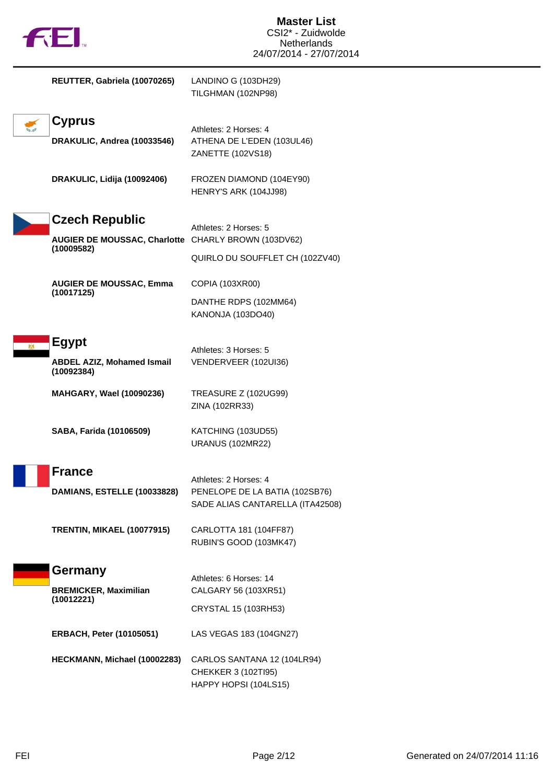

| REUTTER, Gabriela (10070265)                        | LANDINO G (103DH29)<br>TILGHMAN (102NP98)                                   |
|-----------------------------------------------------|-----------------------------------------------------------------------------|
| <b>Cyprus</b><br>DRAKULIC, Andrea (10033546)        | Athletes: 2 Horses: 4<br>ATHENA DE L'EDEN (103UL46)                         |
|                                                     | ZANETTE (102VS18)                                                           |
| DRAKULIC, Lidija (10092406)                         | FROZEN DIAMOND (104EY90)<br>HENRY'S ARK (104JJ98)                           |
| <b>Czech Republic</b>                               |                                                                             |
| AUGIER DE MOUSSAC, Charlotte CHARLY BROWN (103DV62) | Athletes: 2 Horses: 5                                                       |
| (10009582)                                          | QUIRLO DU SOUFFLET CH (102ZV40)                                             |
| <b>AUGIER DE MOUSSAC, Emma</b>                      | COPIA (103XR00)                                                             |
| (10017125)                                          | DANTHE RDPS (102MM64)<br>KANONJA (103DO40)                                  |
| <b>Egypt</b>                                        |                                                                             |
| <b>ABDEL AZIZ, Mohamed Ismail</b><br>(10092384)     | Athletes: 3 Horses: 5<br>VENDERVEER (102UI36)                               |
| MAHGARY, Wael (10090236)                            | <b>TREASURE Z (102UG99)</b><br>ZINA (102RR33)                               |
| SABA, Farida (10106509)                             | KATCHING (103UD55)<br><b>URANUS (102MR22)</b>                               |
| <b>France</b>                                       |                                                                             |
| <b>DAMIANS, ESTELLE (10033828)</b>                  | Athletes: 2 Horses: 4<br>PENELOPE DE LA BATIA (102SB76)                     |
|                                                     | SADE ALIAS CANTARELLA (ITA42508)                                            |
| <b>TRENTIN, MIKAEL (10077915)</b>                   | CARLOTTA 181 (104FF87)<br>RUBIN'S GOOD (103MK47)                            |
| Germany                                             |                                                                             |
| <b>BREMICKER, Maximilian</b>                        | Athletes: 6 Horses: 14<br>CALGARY 56 (103XR51)                              |
| (10012221)                                          | CRYSTAL 15 (103RH53)                                                        |
| <b>ERBACH, Peter (10105051)</b>                     | LAS VEGAS 183 (104GN27)                                                     |
| HECKMANN, Michael (10002283)                        | CARLOS SANTANA 12 (104LR94)<br>CHEKKER 3 (102TI95)<br>HAPPY HOPSI (104LS15) |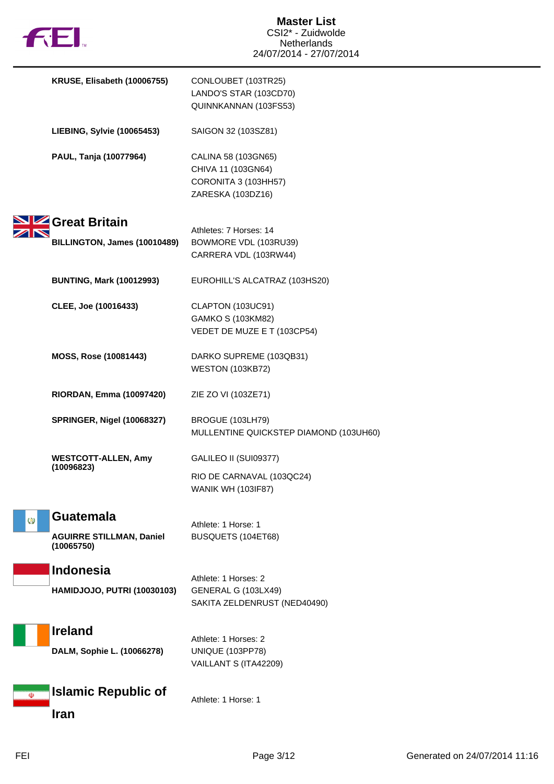

|          | KRUSE, Elisabeth (10006755)                   | CONLOUBET (103TR25)<br>LANDO'S STAR (103CD70)<br>QUINNKANNAN (103FS53)                 |
|----------|-----------------------------------------------|----------------------------------------------------------------------------------------|
|          | <b>LIEBING, Sylvie (10065453)</b>             | SAIGON 32 (103SZ81)                                                                    |
|          | PAUL, Tanja (10077964)                        | CALINA 58 (103GN65)<br>CHIVA 11 (103GN64)<br>CORONITA 3 (103HH57)<br>ZARESKA (103DZ16) |
|          | Great Britain                                 |                                                                                        |
|          | BILLINGTON, James (10010489)                  | Athletes: 7 Horses: 14<br>BOWMORE VDL (103RU39)<br>CARRERA VDL (103RW44)               |
|          | <b>BUNTING, Mark (10012993)</b>               | EUROHILL'S ALCATRAZ (103HS20)                                                          |
|          | CLEE, Joe (10016433)                          | CLAPTON (103UC91)<br>GAMKO S (103KM82)<br>VEDET DE MUZE E T (103CP54)                  |
|          | MOSS, Rose (10081443)                         | DARKO SUPREME (103QB31)<br><b>WESTON (103KB72)</b>                                     |
|          | RIORDAN, Emma (10097420)                      | ZIE ZO VI (103ZE71)                                                                    |
|          | <b>SPRINGER, Nigel (10068327)</b>             | BROGUE (103LH79)<br>MULLENTINE QUICKSTEP DIAMOND (103UH60)                             |
|          | <b>WESTCOTT-ALLEN, Amy</b><br>(10096823)      | GALILEO II (SUI09377)                                                                  |
|          |                                               | RIO DE CARNAVAL (103QC24)<br><b>WANIK WH (103IF87)</b>                                 |
| $\omega$ | <b>Guatemala</b>                              | Athlete: 1 Horse: 1                                                                    |
|          | <b>AGUIRRE STILLMAN, Daniel</b><br>(10065750) | BUSQUETS (104ET68)                                                                     |
|          | <b>Indonesia</b>                              | Athlete: 1 Horses: 2                                                                   |
|          | <b>HAMIDJOJO, PUTRI (10030103)</b>            | GENERAL G (103LX49)<br>SAKITA ZELDENRUST (NED40490)                                    |
|          | <b>Ireland</b>                                | Athlete: 1 Horses: 2                                                                   |
|          | DALM, Sophie L. (10066278)                    | <b>UNIQUE (103PP78)</b><br>VAILLANT S (ITA42209)                                       |
| D        | <b>Islamic Republic of</b><br>Iran            | Athlete: 1 Horse: 1                                                                    |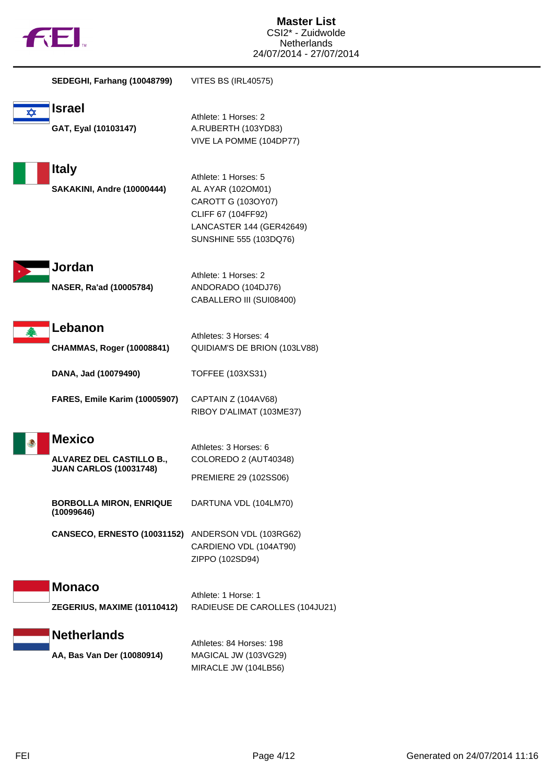

|   | <b>SEDEGHI, Farhang (10048799)</b>                                         | VITES BS (IRL40575)                                                                                                                         |
|---|----------------------------------------------------------------------------|---------------------------------------------------------------------------------------------------------------------------------------------|
| ⋉ | <b>Israel</b><br>GAT, Eyal (10103147)                                      | Athlete: 1 Horses: 2<br>A.RUBERTH (103YD83)<br>VIVE LA POMME (104DP77)                                                                      |
|   | <b>Italy</b><br><b>SAKAKINI, Andre (10000444)</b>                          | Athlete: 1 Horses: 5<br>AL AYAR (1020M01)<br>CAROTT G (103OY07)<br>CLIFF 67 (104FF92)<br>LANCASTER 144 (GER42649)<br>SUNSHINE 555 (103DQ76) |
|   | Jordan<br>NASER, Ra'ad (10005784)                                          | Athlete: 1 Horses: 2<br>ANDORADO (104DJ76)<br>CABALLERO III (SUI08400)                                                                      |
|   | Lebanon<br><b>CHAMMAS, Roger (10008841)</b><br>DANA, Jad (10079490)        | Athletes: 3 Horses: 4<br>QUIDIAM'S DE BRION (103LV88)<br>TOFFEE (103XS31)                                                                   |
|   | FARES, Emile Karim (10005907)                                              | CAPTAIN Z (104AV68)<br>RIBOY D'ALIMAT (103ME37)                                                                                             |
|   | <b>Mexico</b><br>ALVAREZ DEL CASTILLO B.,<br><b>JUAN CARLOS (10031748)</b> | Athletes: 3 Horses: 6<br>COLOREDO 2 (AUT40348)<br>PREMIERE 29 (102SS06)                                                                     |
|   | <b>BORBOLLA MIRON, ENRIQUE</b><br>(10099646)                               | DARTUNA VDL (104LM70)                                                                                                                       |
|   | CANSECO, ERNESTO (10031152) ANDERSON VDL (103RG62)                         | CARDIENO VDL (104AT90)<br>ZIPPO (102SD94)                                                                                                   |
|   | <b>Monaco</b><br>ZEGERIUS, MAXIME (10110412)                               | Athlete: 1 Horse: 1<br>RADIEUSE DE CAROLLES (104JU21)                                                                                       |
|   | <b>Netherlands</b><br>AA, Bas Van Der (10080914)                           | Athletes: 84 Horses: 198<br>MAGICAL JW (103VG29)<br>MIRACLE JW (104LB56)                                                                    |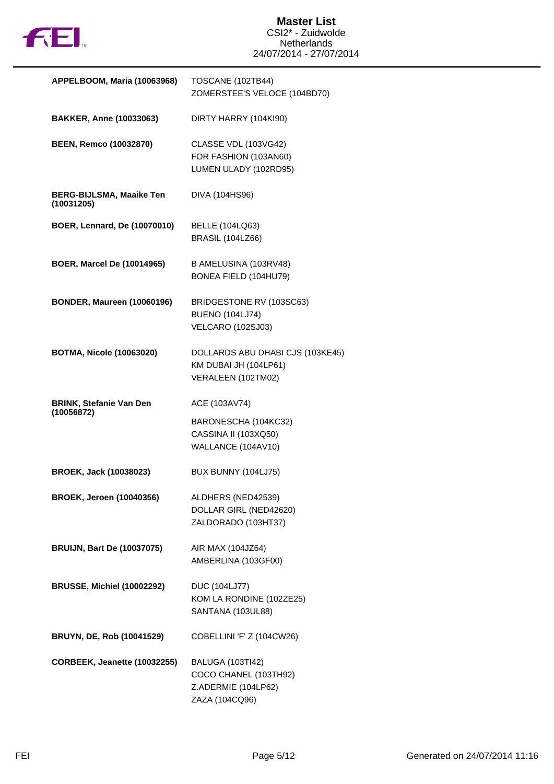

| APPELBOOM, Maria (10063968)                   | TOSCANE (102TB44)<br>ZOMERSTEE'S VELOCE (104BD70)                                         |
|-----------------------------------------------|-------------------------------------------------------------------------------------------|
| <b>BAKKER, Anne (10033063)</b>                | DIRTY HARRY (104KI90)                                                                     |
| <b>BEEN, Remco (10032870)</b>                 | <b>CLASSE VDL (103VG42)</b><br>FOR FASHION (103AN60)<br>LUMEN ULADY (102RD95)             |
| <b>BERG-BIJLSMA, Maaike Ten</b><br>(10031205) | DIVA (104HS96)                                                                            |
| BOER, Lennard, De (10070010)                  | <b>BELLE (104LQ63)</b><br><b>BRASIL (104LZ66)</b>                                         |
| <b>BOER, Marcel De (10014965)</b>             | B AMELUSINA (103RV48)<br>BONEA FIELD (104HU79)                                            |
| <b>BONDER, Maureen (10060196)</b>             | BRIDGESTONE RV (103SC63)<br><b>BUENO (104LJ74)</b><br><b>VELCARO (102SJ03)</b>            |
| <b>BOTMA, Nicole (10063020)</b>               | DOLLARDS ABU DHABI CJS (103KE45)<br>KM DUBAI JH (104LP61)<br>VERALEEN (102TM02)           |
| <b>BRINK, Stefanie Van Den</b><br>(10056872)  | ACE (103AV74)                                                                             |
|                                               | BARONESCHA (104KC32)<br>CASSINA II (103XQ50)<br>WALLANCE (104AV10)                        |
| BROEK, Jack (10038023)                        | BUX BUNNY (104LJ75)                                                                       |
| <b>BROEK, Jeroen (10040356)</b>               | ALDHERS (NED42539)<br>DOLLAR GIRL (NED42620)<br>ZALDORADO (103HT37)                       |
| <b>BRUIJN, Bart De (10037075)</b>             | AIR MAX (104JZ64)<br>AMBERLINA (103GF00)                                                  |
| <b>BRUSSE, Michiel (10002292)</b>             | <b>DUC (104LJ77)</b><br>KOM LA RONDINE (102ZE25)<br>SANTANA (103UL88)                     |
| <b>BRUYN, DE, Rob (10041529)</b>              | COBELLINI 'F' Z (104CW26)                                                                 |
| CORBEEK, Jeanette (10032255)                  | <b>BALUGA (103TI42)</b><br>COCO CHANEL (103TH92)<br>Z.ADERMIE (104LP62)<br>ZAZA (104CQ96) |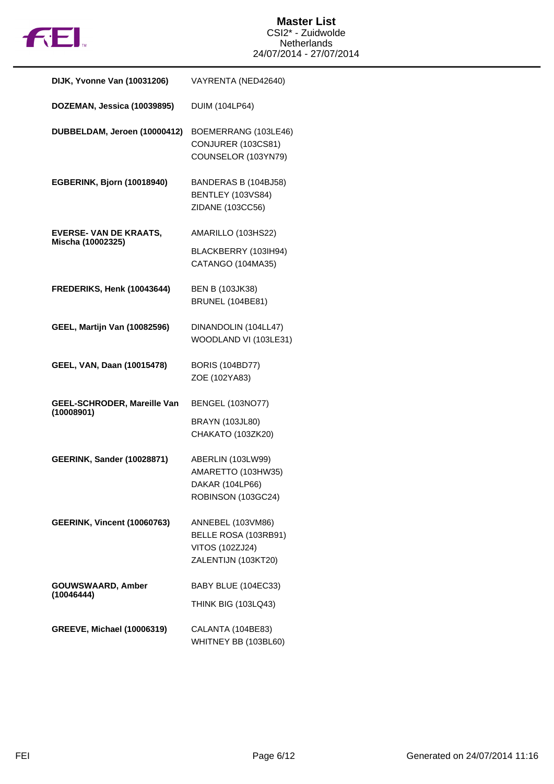

| DIJK, Yvonne Van (10031206)                        | VAYRENTA (NED42640)                                                                 |
|----------------------------------------------------|-------------------------------------------------------------------------------------|
| DOZEMAN, Jessica (10039895)                        | <b>DUIM (104LP64)</b>                                                               |
| DUBBELDAM, Jeroen (10000412)                       | BOEMERRANG (103LE46)<br>CONJURER (103CS81)<br>COUNSELOR (103YN79)                   |
| EGBERINK, Bjorn (10018940)                         | BANDERAS B (104BJ58)<br>BENTLEY (103VS84)<br>ZIDANE (103CC56)                       |
| <b>EVERSE- VAN DE KRAATS,</b><br>Mischa (10002325) | AMARILLO (103HS22)                                                                  |
|                                                    | BLACKBERRY (103IH94)<br>CATANGO (104MA35)                                           |
| FREDERIKS, Henk (10043644)                         | <b>BEN B (103JK38)</b>                                                              |
|                                                    | <b>BRUNEL (104BE81)</b>                                                             |
| <b>GEEL, Martijn Van (10082596)</b>                | DINANDOLIN (104LL47)<br>WOODLAND VI (103LE31)                                       |
|                                                    |                                                                                     |
| GEEL, VAN, Daan (10015478)                         | <b>BORIS (104BD77)</b><br>ZOE (102YA83)                                             |
| GEEL-SCHRODER, Mareille Van                        | <b>BENGEL (103NO77)</b>                                                             |
| (10008901)                                         | <b>BRAYN (103JL80)</b>                                                              |
|                                                    | CHAKATO (103ZK20)                                                                   |
| <b>GEERINK, Sander (10028871)</b>                  | ABERLIN (103LW99)                                                                   |
|                                                    | AMARETTO (103HW35)<br>DAKAR (104LP66)                                               |
|                                                    | ROBINSON (103GC24)                                                                  |
| <b>GEERINK, Vincent (10060763)</b>                 | ANNEBEL (103VM86)<br>BELLE ROSA (103RB91)<br>VITOS (102ZJ24)<br>ZALENTIJN (103KT20) |
|                                                    |                                                                                     |
| GOUWSWAARD, Amber<br>(10046444)                    | BABY BLUE (104EC33)                                                                 |
|                                                    | <b>THINK BIG (103LQ43)</b>                                                          |
| <b>GREEVE, Michael (10006319)</b>                  | CALANTA (104BE83)<br>WHITNEY BB (103BL60)                                           |
|                                                    |                                                                                     |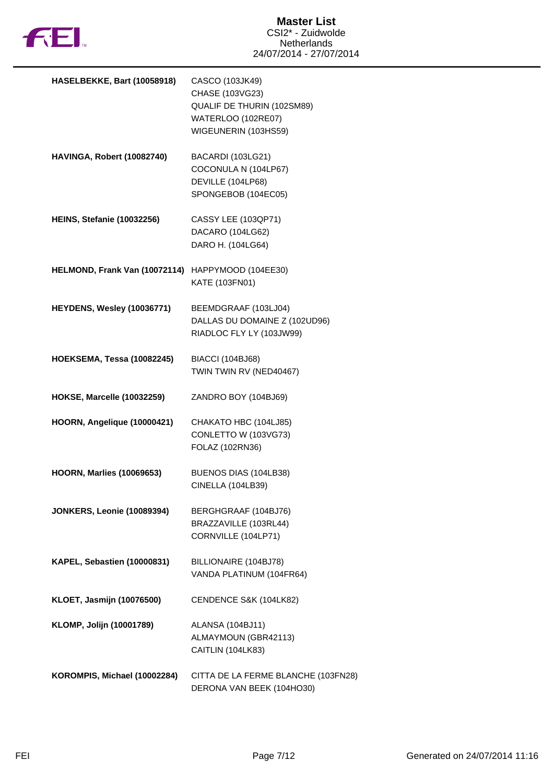

| HASELBEKKE, Bart (10058918)                       | CASCO (103JK49)<br>CHASE (103VG23)<br>QUALIF DE THURIN (102SM89)<br>WATERLOO (102RE07)<br>WIGEUNERIN (103HS59) |
|---------------------------------------------------|----------------------------------------------------------------------------------------------------------------|
| HAVINGA, Robert (10082740)                        | BACARDI (103LG21)<br>COCONULA N (104LP67)<br>DEVILLE (104LP68)<br>SPONGEBOB (104EC05)                          |
| <b>HEINS, Stefanie (10032256)</b>                 | CASSY LEE (103QP71)<br>DACARO (104LG62)<br>DARO H. (104LG64)                                                   |
| HELMOND, Frank Van (10072114) HAPPYMOOD (104EE30) | KATE (103FN01)                                                                                                 |
| HEYDENS, Wesley (10036771)                        | BEEMDGRAAF (103LJ04)<br>DALLAS DU DOMAINE Z (102UD96)<br>RIADLOC FLY LY (103JW99)                              |
| <b>HOEKSEMA, Tessa (10082245)</b>                 | <b>BIACCI (104BJ68)</b><br>TWIN TWIN RV (NED40467)                                                             |
| <b>HOKSE, Marcelle (10032259)</b>                 | ZANDRO BOY (104BJ69)                                                                                           |
| HOORN, Angelique (10000421)                       | CHAKATO HBC (104LJ85)<br>CONLETTO W (103VG73)<br>FOLAZ (102RN36)                                               |
| <b>HOORN, Marlies (10069653)</b>                  | BUENOS DIAS (104LB38)<br><b>CINELLA (104LB39)</b>                                                              |
| <b>JONKERS, Leonie (10089394)</b>                 | BERGHGRAAF (104BJ76)<br>BRAZZAVILLE (103RL44)<br>CORNVILLE (104LP71)                                           |
| KAPEL, Sebastien (10000831)                       | BILLIONAIRE (104BJ78)<br>VANDA PLATINUM (104FR64)                                                              |
| KLOET, Jasmijn (10076500)                         | CENDENCE S&K (104LK82)                                                                                         |
| KLOMP, Jolijn (10001789)                          | ALANSA (104BJ11)<br>ALMAYMOUN (GBR42113)<br>CAITLIN (104LK83)                                                  |
| KOROMPIS, Michael (10002284)                      | CITTA DE LA FERME BLANCHE (103FN28)<br>DERONA VAN BEEK (104HO30)                                               |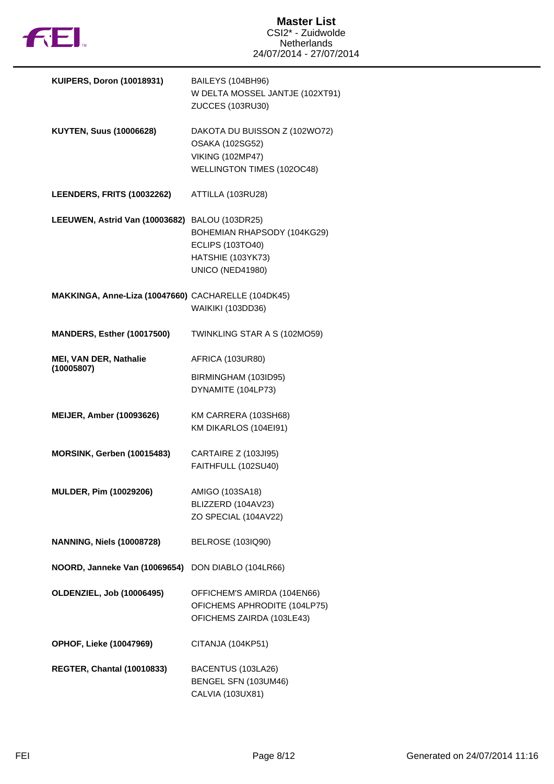

| <b>KUIPERS, Doron (10018931)</b>                    | BAILEYS (104BH96)<br>W DELTA MOSSEL JANTJE (102XT91)<br>ZUCCES (103RU30)                                  |
|-----------------------------------------------------|-----------------------------------------------------------------------------------------------------------|
| <b>KUYTEN, Suus (10006628)</b>                      | DAKOTA DU BUISSON Z (102WO72)<br>OSAKA (102SG52)<br><b>VIKING (102MP47)</b><br>WELLINGTON TIMES (102OC48) |
| <b>LEENDERS, FRITS (10032262)</b>                   | ATTILLA (103RU28)                                                                                         |
| LEEUWEN, Astrid Van (10003682) BALOU (103DR25)      | BOHEMIAN RHAPSODY (104KG29)<br><b>ECLIPS (103TO40)</b><br>HATSHIE (103YK73)<br><b>UNICO (NED41980)</b>    |
| MAKKINGA, Anne-Liza (10047660) CACHARELLE (104DK45) | <b>WAIKIKI (103DD36)</b>                                                                                  |
| <b>MANDERS, Esther (10017500)</b>                   | TWINKLING STAR A S (102MO59)                                                                              |
| MEI, VAN DER, Nathalie<br>(10005807)                | AFRICA (103UR80)                                                                                          |
|                                                     | BIRMINGHAM (103ID95)<br>DYNAMITE (104LP73)                                                                |
| <b>MEIJER, Amber (10093626)</b>                     | KM CARRERA (103SH68)<br>KM DIKARLOS (104EI91)                                                             |
| MORSINK, Gerben (10015483)                          | CARTAIRE Z (103JI95)<br>FAITHFULL (102SU40)                                                               |
| <b>MULDER, Pim (10029206)</b>                       | AMIGO (103SA18)<br>BLIZZERD (104AV23)                                                                     |
|                                                     | ZO SPECIAL (104AV22)                                                                                      |
| <b>NANNING, Niels (10008728)</b>                    | <b>BELROSE (103IQ90)</b>                                                                                  |
| NOORD, Janneke Van (10069654) DON DIABLO (104LR66)  |                                                                                                           |
| <b>OLDENZIEL, Job (10006495)</b>                    | OFFICHEM'S AMIRDA (104EN66)<br>OFICHEMS APHRODITE (104LP75)<br>OFICHEMS ZAIRDA (103LE43)                  |
| <b>OPHOF, Lieke (10047969)</b>                      | CITANJA (104KP51)                                                                                         |
| <b>REGTER, Chantal (10010833)</b>                   | BACENTUS (103LA26)<br>BENGEL SFN (103UM46)<br>CALVIA (103UX81)                                            |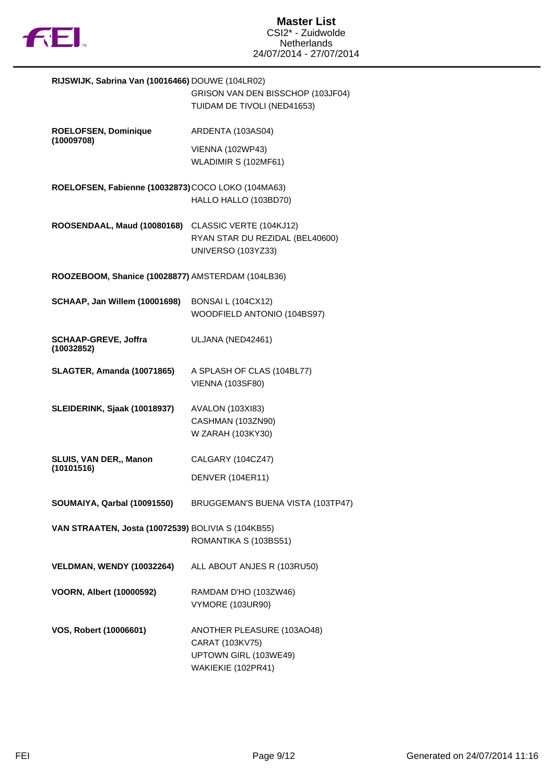

| RIJSWIJK, Sabrina Van (10016466) DOUWE (104LR02)   | GRISON VAN DEN BISSCHOP (103JF04)<br>TUIDAM DE TIVOLI (NED41653)                             |
|----------------------------------------------------|----------------------------------------------------------------------------------------------|
| ROELOFSEN, Dominique                               | ARDENTA (103AS04)                                                                            |
| (10009708)                                         | <b>VIENNA (102WP43)</b><br>WLADIMIR S (102MF61)                                              |
| ROELOFSEN, Fabienne (10032873) COCO LOKO (104MA63) | HALLO HALLO (103BD70)                                                                        |
| ROOSENDAAL, Maud (10080168)                        | CLASSIC VERTE (104KJ12)<br>RYAN STAR DU REZIDAL (BEL40600)<br><b>UNIVERSO (103YZ33)</b>      |
| ROOZEBOOM, Shanice (10028877) AMSTERDAM (104LB36)  |                                                                                              |
| <b>SCHAAP, Jan Willem (10001698)</b>               | BONSAI L (104CX12)<br>WOODFIELD ANTONIO (104BS97)                                            |
| <b>SCHAAP-GREVE, Joffra</b><br>(10032852)          | ULJANA (NED42461)                                                                            |
| <b>SLAGTER, Amanda (10071865)</b>                  | A SPLASH OF CLAS (104BL77)<br><b>VIENNA (103SF80)</b>                                        |
| SLEIDERINK, Sjaak (10018937)                       | <b>AVALON (103XI83)</b><br>CASHMAN (103ZN90)<br>W ZARAH (103KY30)                            |
| SLUIS, VAN DER,, Manon<br>(10101516)               | CALGARY (104CZ47)                                                                            |
|                                                    | DENVER (104ER11)                                                                             |
| SOUMAIYA, Qarbal (10091550)                        | BRUGGEMAN'S BUENA VISTA (103TP47)                                                            |
| VAN STRAATEN, Josta (10072539) BOLIVIA S (104KB55) | ROMANTIKA S (103BS51)                                                                        |
| <b>VELDMAN, WENDY (10032264)</b>                   | ALL ABOUT ANJES R (103RU50)                                                                  |
| <b>VOORN, Albert (10000592)</b>                    | RAMDAM D'HO (103ZW46)<br><b>VYMORE (103UR90)</b>                                             |
| VOS, Robert (10006601)                             | ANOTHER PLEASURE (103AO48)<br>CARAT (103KV75)<br>UPTOWN GIRL (103WE49)<br>WAKIEKIE (102PR41) |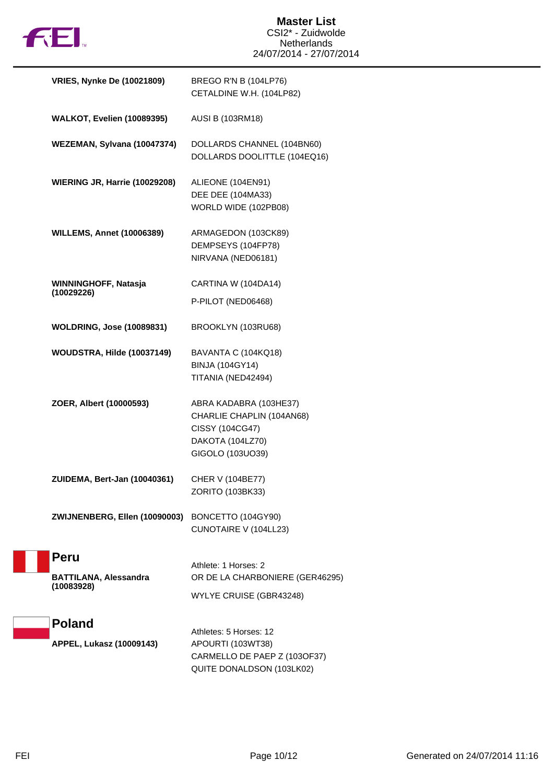

| <b>VRIES, Nynke De (10021809)</b>          | BREGO R'N B (104LP76)<br>CETALDINE W.H. (104LP82)                                                              |
|--------------------------------------------|----------------------------------------------------------------------------------------------------------------|
| <b>WALKOT, Evelien (10089395)</b>          | <b>AUSI B (103RM18)</b>                                                                                        |
| WEZEMAN, Sylvana (10047374)                | DOLLARDS CHANNEL (104BN60)<br>DOLLARDS DOOLITTLE (104EQ16)                                                     |
| WIERING JR, Harrie (10029208)              | ALIEONE (104EN91)<br>DEE DEE (104MA33)<br>WORLD WIDE (102PB08)                                                 |
| <b>WILLEMS, Annet (10006389)</b>           | ARMAGEDON (103CK89)<br>DEMPSEYS (104FP78)<br>NIRVANA (NED06181)                                                |
| WINNINGHOFF, Natasja<br>(10029226)         | CARTINA W (104DA14)                                                                                            |
|                                            | P-PILOT (NED06468)                                                                                             |
| <b>WOLDRING, Jose (10089831)</b>           | BROOKLYN (103RU68)                                                                                             |
| WOUDSTRA, Hilde (10037149)                 | BAVANTA C (104KQ18)                                                                                            |
|                                            | <b>BINJA (104GY14)</b><br>TITANIA (NED42494)                                                                   |
| ZOER, Albert (10000593)                    | ABRA KADABRA (103HE37)<br>CHARLIE CHAPLIN (104AN68)<br>CISSY (104CG47)<br>DAKOTA (104LZ70)<br>GIGOLO (103UO39) |
| ZUIDEMA, Bert-Jan (10040361)               | CHER V (104BE77)<br>ZORITO (103BK33)                                                                           |
| ZWIJNENBERG, Ellen (10090003)              | BONCETTO (104GY90)<br>CUNOTAIRE V (104LL23)                                                                    |
| <b>Peru</b>                                | Athlete: 1 Horses: 2                                                                                           |
| <b>BATTILANA, Alessandra</b><br>(10083928) | OR DE LA CHARBONIERE (GER46295)                                                                                |
|                                            | WYLYE CRUISE (GBR43248)                                                                                        |
| <b>Poland</b>                              |                                                                                                                |
| APPEL, Lukasz (10009143)                   | Athletes: 5 Horses: 12<br>APOURTI (103WT38)                                                                    |
|                                            | CARMELLO DE PAEP Z (103OF37)<br>QUITE DONALDSON (103LK02)                                                      |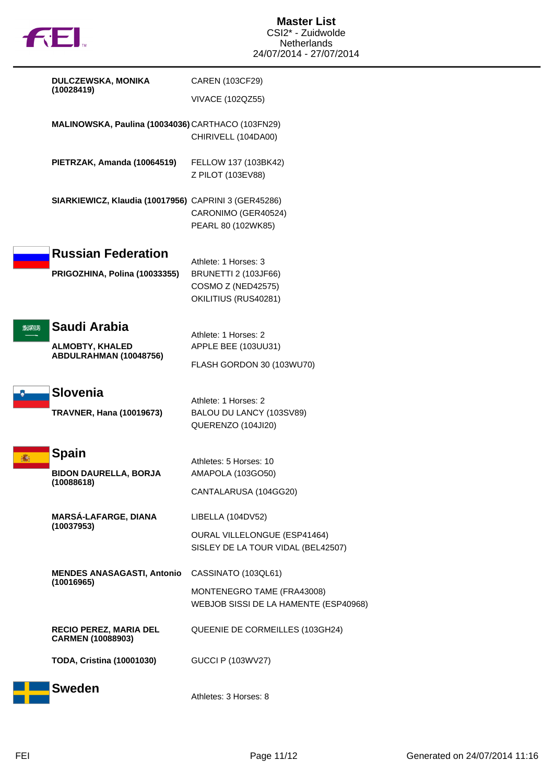

Í

|      | <b>DULCZEWSKA, MONIKA</b><br>(10028419)                          | CAREN (103CF29)                                                                                          |
|------|------------------------------------------------------------------|----------------------------------------------------------------------------------------------------------|
|      |                                                                  | VIVACE (102QZ55)                                                                                         |
|      | MALINOWSKA, Paulina (10034036) CARTHACO (103FN29)                | CHIRIVELL (104DA00)                                                                                      |
|      | PIETRZAK, Amanda (10064519)                                      | FELLOW 137 (103BK42)<br>Z PILOT (103EV88)                                                                |
|      | SIARKIEWICZ, Klaudia (10017956) CAPRINI 3 (GER45286)             | CARONIMO (GER40524)<br>PEARL 80 (102WK85)                                                                |
|      | <b>Russian Federation</b><br>PRIGOZHINA, Polina (10033355)       | Athlete: 1 Horses: 3<br><b>BRUNETTI 2 (103JF66)</b><br><b>COSMO Z (NED42575)</b><br>OKILITIUS (RUS40281) |
| 想笑以为 | Saudi Arabia<br><b>ALMOBTY, KHALED</b><br>ABDULRAHMAN (10048756) | Athlete: 1 Horses: 2<br>APPLE BEE (103UU31)<br>FLASH GORDON 30 (103WU70)                                 |
|      | <b>Slovenia</b><br><b>TRAVNER, Hana (10019673)</b>               | Athlete: 1 Horses: 2<br>BALOU DU LANCY (103SV89)<br>QUERENZO (104JI20)                                   |
| 灩    | <b>Spain</b><br><b>BIDON DAURELLA, BORJA</b><br>(10088618)       | Athletes: 5 Horses: 10<br>AMAPOLA (103GO50)<br>CANTALARUSA (104GG20)                                     |
|      | MARSÁ-LAFARGE, DIANA<br>(10037953)                               | LIBELLA (104DV52)<br><b>OURAL VILLELONGUE (ESP41464)</b><br>SISLEY DE LA TOUR VIDAL (BEL42507)           |
|      | <b>MENDES ANASAGASTI, Antonio</b><br>(10016965)                  | CASSINATO (103QL61)<br>MONTENEGRO TAME (FRA43008)<br>WEBJOB SISSI DE LA HAMENTE (ESP40968)               |
|      | <b>RECIO PEREZ, MARIA DEL</b><br>CARMEN (10088903)               | QUEENIE DE CORMEILLES (103GH24)                                                                          |
|      | <b>TODA, Cristina (10001030)</b>                                 | <b>GUCCI P (103WV27)</b>                                                                                 |
|      | <b>Sweden</b>                                                    | Athletes: 3 Horses: 8                                                                                    |